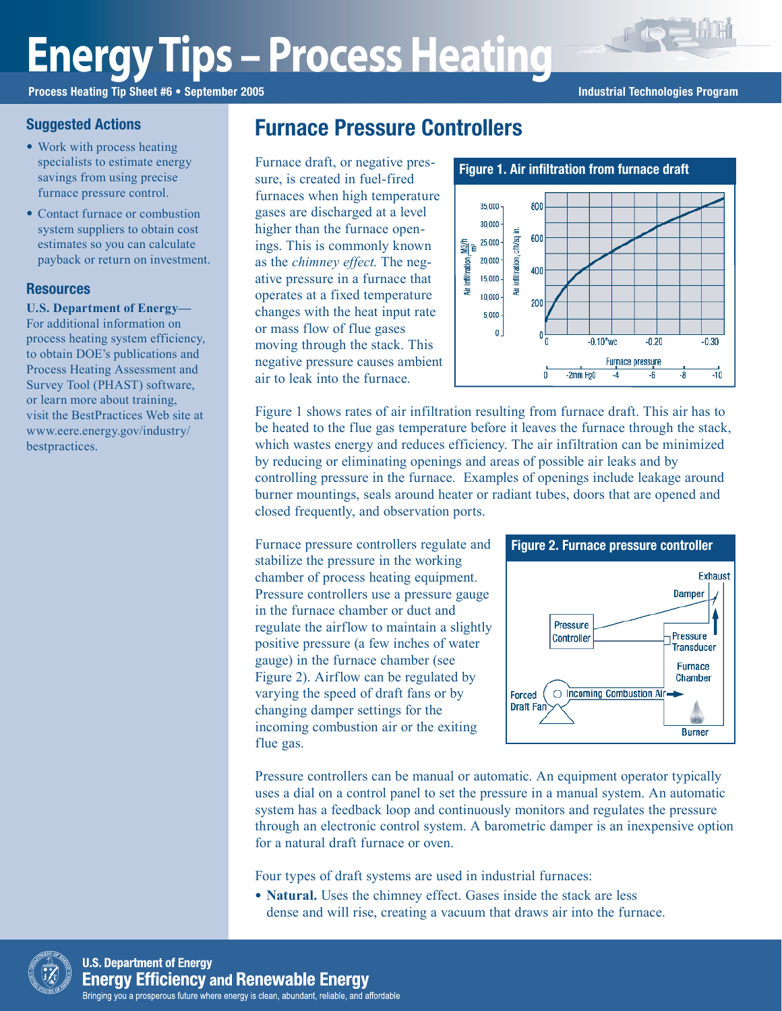# **Energy Tips – Process Heating**

Process Heating Tip Sheet #6 • September 2005 **Industrial Technologies Program** Industrial Technologies Program

### Suggested Actions

- Work with process heating specialists to estimate energy savings from using precise furnace pressure control.
- Contact furnace or combustion system suppliers to obtain cost estimates so you can calculate payback or return on investment.

#### **Resources**

**U.S. Department of Energy—** For additional information on process heating system efficiency, to obtain DOE's publications and Process Heating Assessment and Survey Tool (PHAST) software, or learn more about training, visit the BestPractices Web site at www.eere.energy.gov/industry/ bestpractices.

## Furnace Pressure Controllers

Furnace draft, or negative pressure, is created in fuel-fired furnaces when high temperature gases are discharged at a level higher than the furnace openings. This is commonly known as the *chimney effect*. The negative pressure in a furnace that operates at a fixed temperature changes with the heat input rate or mass flow of flue gases moving through the stack. This negative pressure causes ambient air to leak into the furnace.



Figure 1 shows rates of air infiltration resulting from furnace draft. This air has to be heated to the flue gas temperature before it leaves the furnace through the stack, which wastes energy and reduces efficiency. The air infiltration can be minimized by reducing or eliminating openings and areas of possible air leaks and by controlling pressure in the furnace. Examples of openings include leakage around burner mountings, seals around heater or radiant tubes, doors that are opened and closed frequently, and observation ports.

Furnace pressure controllers regulate and stabilize the pressure in the working chamber of process heating equipment. Pressure controllers use a pressure gauge in the furnace chamber or duct and regulate the airflow to maintain a slightly positive pressure (a few inches of water gauge) in the furnace chamber (see Figure 2). Airflow can be regulated by varying the speed of draft fans or by changing damper settings for the incoming combustion air or the exiting flue gas.



Pressure controllers can be manual or automatic. An equipment operator typically uses a dial on a control panel to set the pressure in a manual system. An automatic system has a feedback loop and continuously monitors and regulates the pressure through an electronic control system. A barometric damper is an inexpensive option for a natural draft furnace or oven.

Four types of draft systems are used in industrial furnaces:

• **Natural.** Uses the chimney effect. Gases inside the stack are less dense and will rise, creating a vacuum that draws air into the furnace.